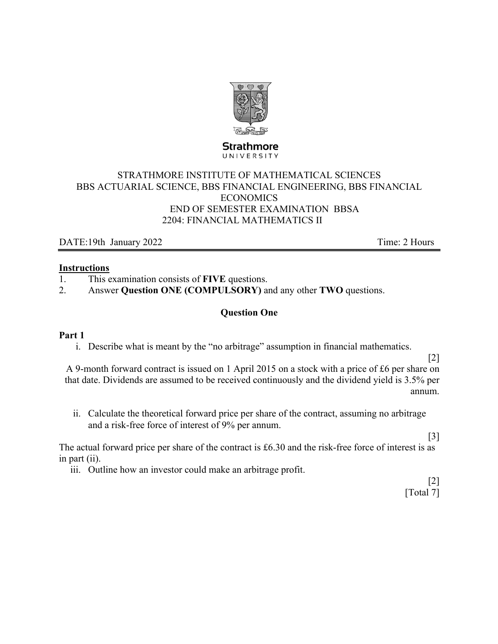

**Strathmore** UNIVERSITY

# STRATHMORE INSTITUTE OF MATHEMATICAL SCIENCES BBS ACTUARIAL SCIENCE, BBS FINANCIAL ENGINEERING, BBS FINANCIAL ECONOMICS END OF SEMESTER EXAMINATION BBSA 2204: FINANCIAL MATHEMATICS II

DATE:19th January 2022 Time: 2 Hours

#### **Instructions**

- 1. This examination consists of **FIVE** questions.
- 2. Answer **Question ONE (COMPULSORY)** and any other **TWO** questions.

# **Question One**

## **Part 1**

i. Describe what is meant by the "no arbitrage" assumption in financial mathematics.

[2]

[3]

A 9-month forward contract is issued on 1 April 2015 on a stock with a price of £6 per share on that date. Dividends are assumed to be received continuously and the dividend yield is 3.5% per annum.

ii. Calculate the theoretical forward price per share of the contract, assuming no arbitrage and a risk-free force of interest of 9% per annum.

The actual forward price per share of the contract is £6.30 and the risk-free force of interest is as in part (ii).

iii. Outline how an investor could make an arbitrage profit.

[2] [Total 7]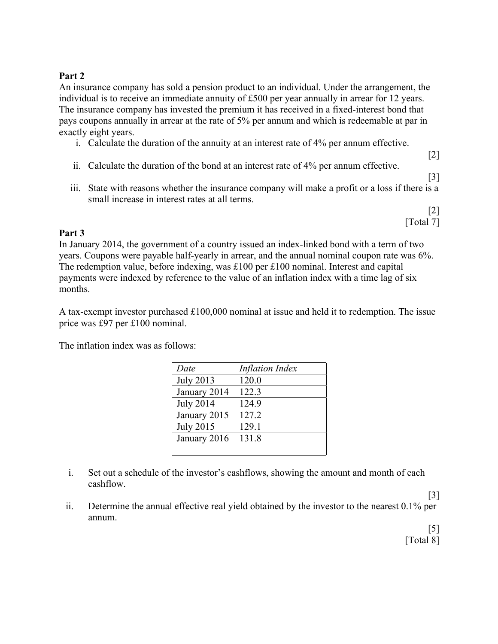## **Part 2**

An insurance company has sold a pension product to an individual. Under the arrangement, the individual is to receive an immediate annuity of £500 per year annually in arrear for 12 years. The insurance company has invested the premium it has received in a fixed-interest bond that pays coupons annually in arrear at the rate of 5% per annum and which is redeemable at par in exactly eight years.

- i. Calculate the duration of the annuity at an interest rate of 4% per annum effective.
- ii. Calculate the duration of the bond at an interest rate of 4% per annum effective.
- iii. State with reasons whether the insurance company will make a profit or a loss if there is a small increase in interest rates at all terms.

[2] [Total 7]

[2]

[3]

## **Part 3**

In January 2014, the government of a country issued an index-linked bond with a term of two years. Coupons were payable half-yearly in arrear, and the annual nominal coupon rate was 6%. The redemption value, before indexing, was £100 per £100 nominal. Interest and capital payments were indexed by reference to the value of an inflation index with a time lag of six months.

A tax-exempt investor purchased £100,000 nominal at issue and held it to redemption. The issue price was £97 per £100 nominal.

The inflation index was as follows:

| Date             | <b>Inflation Index</b> |
|------------------|------------------------|
| <b>July 2013</b> | 120.0                  |
| January 2014     | 122.3                  |
| <b>July 2014</b> | 124.9                  |
| January 2015     | 127.2                  |
| <b>July 2015</b> | 129.1                  |
| January 2016     | 131.8                  |
|                  |                        |

- i. Set out a schedule of the investor's cashflows, showing the amount and month of each cashflow.
- ii. Determine the annual effective real yield obtained by the investor to the nearest 0.1% per annum.

[5] [Total 8]

[3]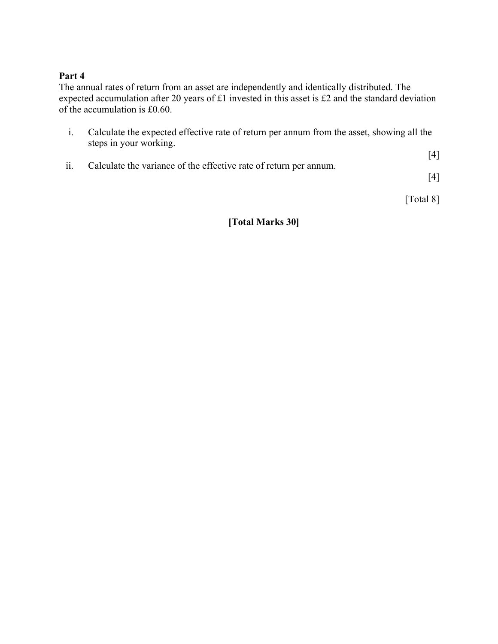## **Part 4**

The annual rates of return from an asset are independently and identically distributed. The expected accumulation after 20 years of £1 invested in this asset is £2 and the standard deviation of the accumulation is £0.60.

- i. Calculate the expected effective rate of return per annum from the asset, showing all the steps in your working.
- [4] ii. Calculate the variance of the effective rate of return per annum.

[4]

[Total 8]

# **[Total Marks 30]**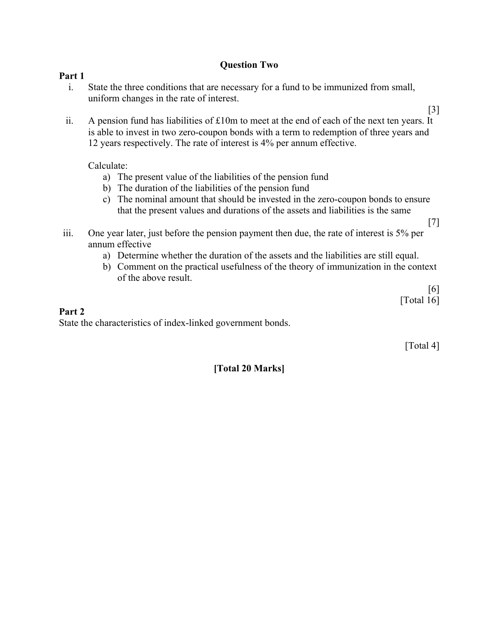# **Question Two**

#### **Part 1**

- i. State the three conditions that are necessary for a fund to be immunized from small, uniform changes in the rate of interest.
- [3] ii. A pension fund has liabilities of  $£10m$  to meet at the end of each of the next ten years. It is able to invest in two zero-coupon bonds with a term to redemption of three years and 12 years respectively. The rate of interest is 4% per annum effective.

Calculate:

- a) The present value of the liabilities of the pension fund
- b) The duration of the liabilities of the pension fund
- c) The nominal amount that should be invested in the zero-coupon bonds to ensure that the present values and durations of the assets and liabilities is the same
- iii. One year later, just before the pension payment then due, the rate of interest is 5% per annum effective
	- a) Determine whether the duration of the assets and the liabilities are still equal.
	- b) Comment on the practical usefulness of the theory of immunization in the context of the above result.

[6] [Total 16]

[7]

## **Part 2**

State the characteristics of index-linked government bonds.

[Total 4]

## **[Total 20 Marks]**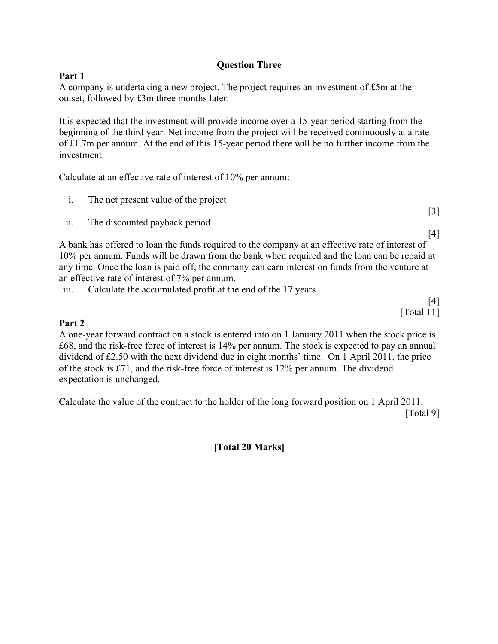# **Question Three**

# **Part 1**

A company is undertaking a new project. The project requires an investment of £5m at the outset, followed by £3m three months later.

It is expected that the investment will provide income over a 15-year period starting from the beginning of the third year. Net income from the project will be received continuously at a rate of £1.7m per annum. At the end of this 15-year period there will be no further income from the investment.

Calculate at an effective rate of interest of 10% per annum:

| The net present value of the project |  |
|--------------------------------------|--|
|                                      |  |

ii. The discounted payback period

[4] A bank has offered to loan the funds required to the company at an effective rate of interest of 10% per annum. Funds will be drawn from the bank when required and the loan can be repaid at any time. Once the loan is paid off, the company can earn interest on funds from the venture at an effective rate of interest of 7% per annum.

iii. Calculate the accumulated profit at the end of the 17 years.

[4] [Total 11]

# **Part 2**

A one-year forward contract on a stock is entered into on 1 January 2011 when the stock price is £68, and the risk-free force of interest is 14% per annum. The stock is expected to pay an annual dividend of £2.50 with the next dividend due in eight months' time. On 1 April 2011, the price of the stock is £71, and the risk-free force of interest is 12% per annum. The dividend expectation is unchanged.

Calculate the value of the contract to the holder of the long forward position on 1 April 2011. [Total 9]

**[Total 20 Marks]**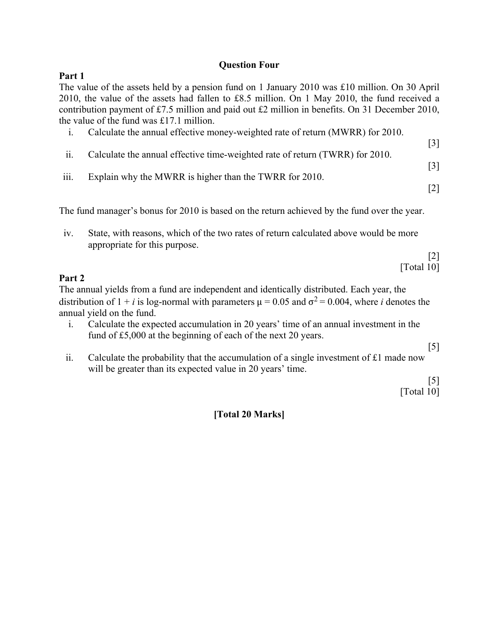#### **Question Four**

## **Part 1**

The value of the assets held by a pension fund on 1 January 2010 was £10 million. On 30 April 2010, the value of the assets had fallen to £8.5 million. On 1 May 2010, the fund received a contribution payment of £7.5 million and paid out £2 million in benefits. On 31 December 2010, the value of the fund was £17.1 million.

- i. Calculate the annual effective money-weighted rate of return (MWRR) for 2010.
- ii. Calculate the annual effective time-weighted rate of return (TWRR) for 2010.
- iii. Explain why the MWRR is higher than the TWRR for 2010.

[2]

[3]

[3]

The fund manager's bonus for 2010 is based on the return achieved by the fund over the year.

iv. State, with reasons, which of the two rates of return calculated above would be more appropriate for this purpose.

> [2] [Total 10]

#### **Part 2**

The annual yields from a fund are independent and identically distributed. Each year, the distribution of  $1 + i$  is log-normal with parameters  $\mu = 0.05$  and  $\sigma^2 = 0.004$ , where *i* denotes the annual yield on the fund.

i. Calculate the expected accumulation in 20 years' time of an annual investment in the fund of £5,000 at the beginning of each of the next 20 years.

[5]

ii. Calculate the probability that the accumulation of a single investment of  $£1$  made now will be greater than its expected value in 20 years' time.

[5]

[Total 10]

## **[Total 20 Marks]**